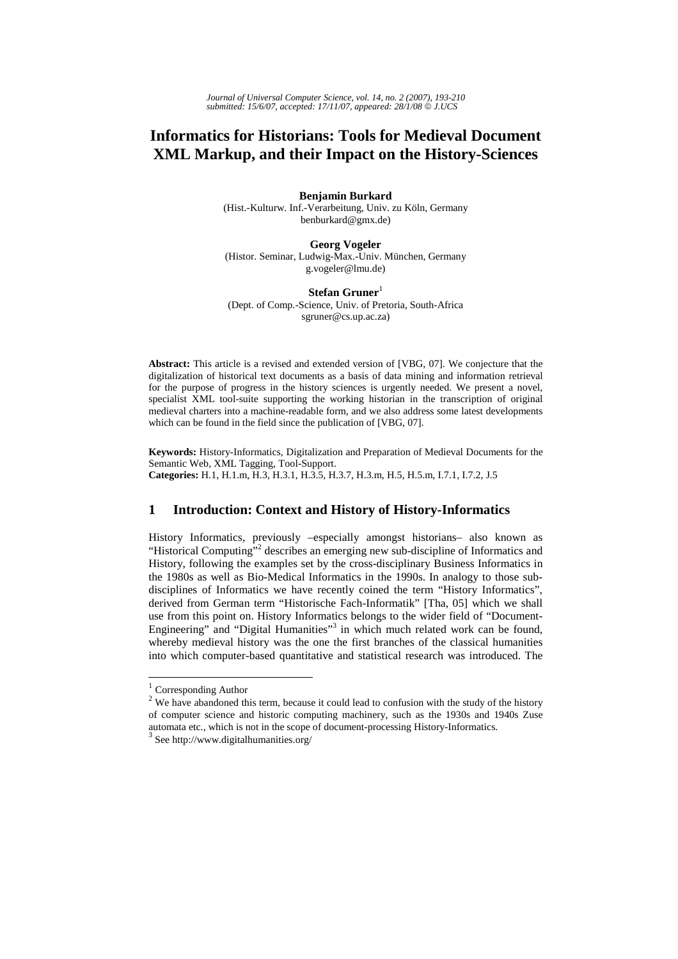# **Informatics for Historians: Tools for Medieval Document XML Markup, and their Impact on the History-Sciences**

#### **Benjamin Burkard**

(Hist.-Kulturw. Inf.-Verarbeitung, Univ. zu Köln, Germany benburkard@gmx.de)

## **Georg Vogeler**

(Histor. Seminar, Ludwig-Max.-Univ. München, Germany g.vogeler@lmu.de)

## $Stefan Gruner<sup>1</sup>$

(Dept. of Comp.-Science, Univ. of Pretoria, South-Africa sgruner@cs.up.ac.za)

**Abstract:** This article is a revised and extended version of [VBG, 07]. We conjecture that the digitalization of historical text documents as a basis of data mining and information retrieval for the purpose of progress in the history sciences is urgently needed. We present a novel, specialist XML tool-suite supporting the working historian in the transcription of original medieval charters into a machine-readable form, and we also address some latest developments which can be found in the field since the publication of [VBG, 07].

**Keywords:** History-Informatics, Digitalization and Preparation of Medieval Documents for the Semantic Web, XML Tagging, Tool-Support. **Categories:** H.1, H.1.m, H.3, H.3.1, H.3.5, H.3.7, H.3.m, H.5, H.5.m, I.7.1, I.7.2, J.5

# **1 Introduction: Context and History of History-Informatics**

History Informatics, previously –especially amongst historians– also known as "Historical Computing"<sup>2</sup> describes an emerging new sub-discipline of Informatics and History, following the examples set by the cross-disciplinary Business Informatics in the 1980s as well as Bio-Medical Informatics in the 1990s. In analogy to those subdisciplines of Informatics we have recently coined the term "History Informatics", derived from German term "Historische Fach-Informatik" [Tha, 05] which we shall use from this point on. History Informatics belongs to the wider field of "Document-Engineering" and "Digital Humanities"<sup>3</sup> in which much related work can be found, whereby medieval history was the one the first branches of the classical humanities into which computer-based quantitative and statistical research was introduced. The

<sup>&</sup>lt;sup>1</sup> Corresponding Author

 $2$  We have abandoned this term, because it could lead to confusion with the study of the history of computer science and historic computing machinery, such as the 1930s and 1940s Zuse automata etc., which is not in the scope of document-processing History-Informatics.

<sup>3</sup> See http://www.digitalhumanities.org/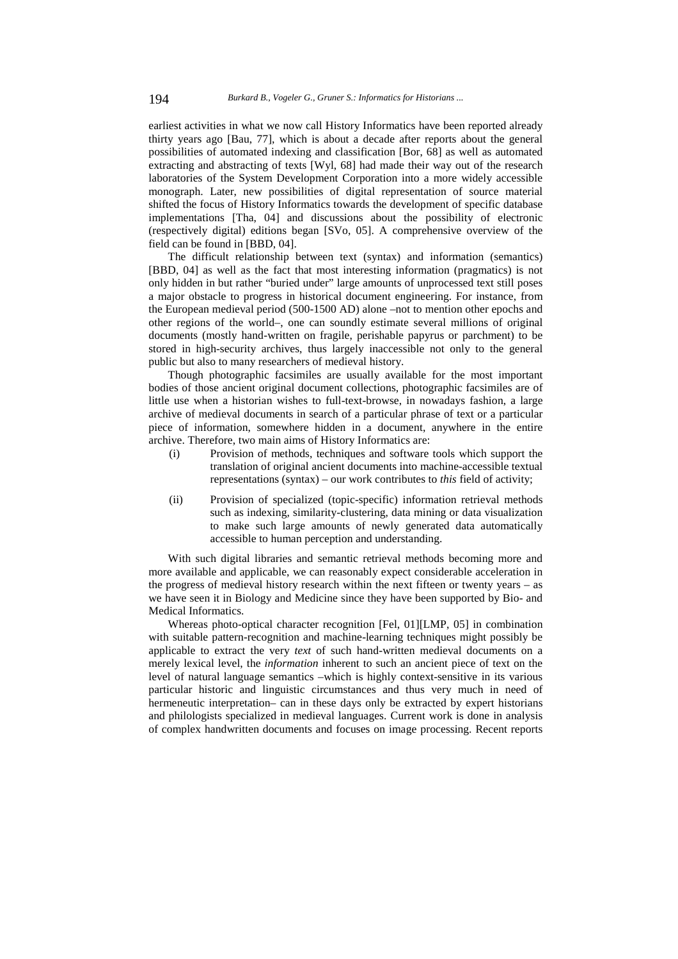earliest activities in what we now call History Informatics have been reported already thirty years ago [Bau, 77], which is about a decade after reports about the general possibilities of automated indexing and classification [Bor, 68] as well as automated extracting and abstracting of texts [Wyl, 68] had made their way out of the research laboratories of the System Development Corporation into a more widely accessible monograph. Later, new possibilities of digital representation of source material shifted the focus of History Informatics towards the development of specific database implementations [Tha, 04] and discussions about the possibility of electronic (respectively digital) editions began [SVo, 05]. A comprehensive overview of the field can be found in [BBD, 04].

The difficult relationship between text (syntax) and information (semantics) [BBD, 04] as well as the fact that most interesting information (pragmatics) is not only hidden in but rather "buried under" large amounts of unprocessed text still poses a major obstacle to progress in historical document engineering. For instance, from the European medieval period (500-1500 AD) alone –not to mention other epochs and other regions of the world–, one can soundly estimate several millions of original documents (mostly hand-written on fragile, perishable papyrus or parchment) to be stored in high-security archives, thus largely inaccessible not only to the general public but also to many researchers of medieval history.

Though photographic facsimiles are usually available for the most important bodies of those ancient original document collections, photographic facsimiles are of little use when a historian wishes to full-text-browse, in nowadays fashion, a large archive of medieval documents in search of a particular phrase of text or a particular piece of information, somewhere hidden in a document, anywhere in the entire archive. Therefore, two main aims of History Informatics are:

- (i) Provision of methods, techniques and software tools which support the translation of original ancient documents into machine-accessible textual representations (syntax) – our work contributes to *this* field of activity;
- (ii) Provision of specialized (topic-specific) information retrieval methods such as indexing, similarity-clustering, data mining or data visualization to make such large amounts of newly generated data automatically accessible to human perception and understanding.

With such digital libraries and semantic retrieval methods becoming more and more available and applicable, we can reasonably expect considerable acceleration in the progress of medieval history research within the next fifteen or twenty years – as we have seen it in Biology and Medicine since they have been supported by Bio- and Medical Informatics.

Whereas photo-optical character recognition [Fel, 01][LMP, 05] in combination with suitable pattern-recognition and machine-learning techniques might possibly be applicable to extract the very *text* of such hand-written medieval documents on a merely lexical level, the *information* inherent to such an ancient piece of text on the level of natural language semantics –which is highly context-sensitive in its various particular historic and linguistic circumstances and thus very much in need of hermeneutic interpretation– can in these days only be extracted by expert historians and philologists specialized in medieval languages. Current work is done in analysis of complex handwritten documents and focuses on image processing. Recent reports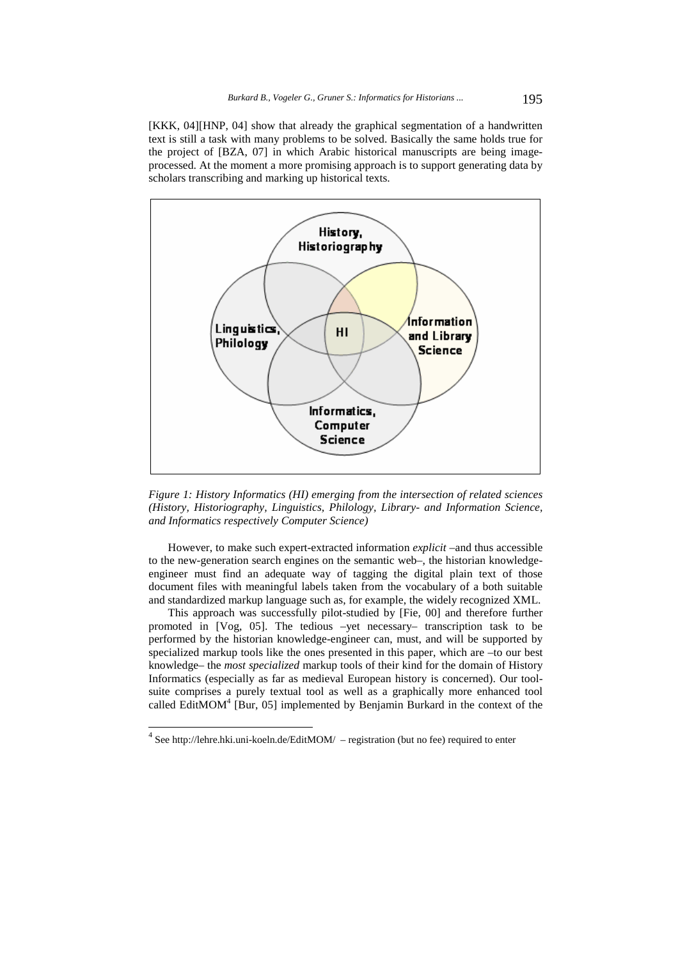[KKK, 04][HNP, 04] show that already the graphical segmentation of a handwritten text is still a task with many problems to be solved. Basically the same holds true for the project of [BZA, 07] in which Arabic historical manuscripts are being imageprocessed. At the moment a more promising approach is to support generating data by scholars transcribing and marking up historical texts.



*Figure 1: History Informatics (HI) emerging from the intersection of related sciences (History, Historiography, Linguistics, Philology, Library- and Information Science, and Informatics respectively Computer Science)*

However, to make such expert-extracted information *explicit* –and thus accessible to the new-generation search engines on the semantic web–, the historian knowledgeengineer must find an adequate way of tagging the digital plain text of those document files with meaningful labels taken from the vocabulary of a both suitable and standardized markup language such as, for example, the widely recognized XML.

This approach was successfully pilot-studied by [Fie, 00] and therefore further promoted in [Vog, 05]. The tedious –yet necessary– transcription task to be performed by the historian knowledge-engineer can, must, and will be supported by specialized markup tools like the ones presented in this paper, which are –to our best knowledge– the *most specialized* markup tools of their kind for the domain of History Informatics (especially as far as medieval European history is concerned). Our toolsuite comprises a purely textual tool as well as a graphically more enhanced tool called EditMOM $4$  [Bur, 05] implemented by Benjamin Burkard in the context of the

 $4$  See http://lehre.hki.uni-koeln.de/EditMOM/ – registration (but no fee) required to enter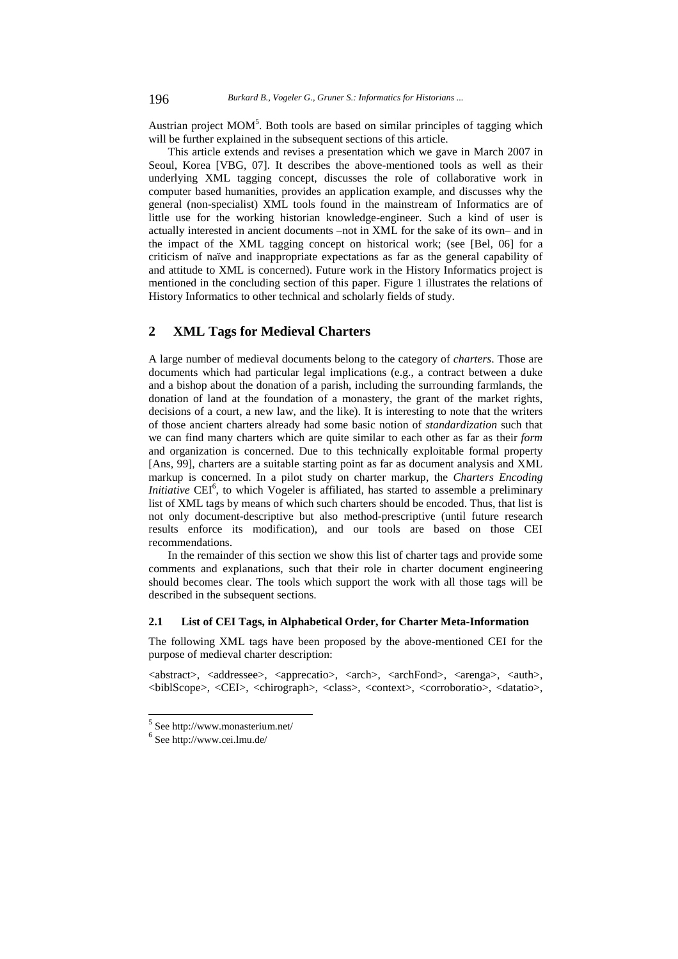Austrian project  $MOM<sup>5</sup>$ . Both tools are based on similar principles of tagging which will be further explained in the subsequent sections of this article.

This article extends and revises a presentation which we gave in March 2007 in Seoul, Korea [VBG, 07]. It describes the above-mentioned tools as well as their underlying XML tagging concept, discusses the role of collaborative work in computer based humanities, provides an application example, and discusses why the general (non-specialist) XML tools found in the mainstream of Informatics are of little use for the working historian knowledge-engineer. Such a kind of user is actually interested in ancient documents –not in XML for the sake of its own– and in the impact of the XML tagging concept on historical work; (see [Bel, 06] for a criticism of naïve and inappropriate expectations as far as the general capability of and attitude to XML is concerned). Future work in the History Informatics project is mentioned in the concluding section of this paper. Figure 1 illustrates the relations of History Informatics to other technical and scholarly fields of study.

# **2 XML Tags for Medieval Charters**

A large number of medieval documents belong to the category of *charters*. Those are documents which had particular legal implications (e.g., a contract between a duke and a bishop about the donation of a parish, including the surrounding farmlands, the donation of land at the foundation of a monastery, the grant of the market rights, decisions of a court, a new law, and the like). It is interesting to note that the writers of those ancient charters already had some basic notion of *standardization* such that we can find many charters which are quite similar to each other as far as their *form* and organization is concerned. Due to this technically exploitable formal property [Ans, 99], charters are a suitable starting point as far as document analysis and XML markup is concerned. In a pilot study on charter markup, the *Charters Encoding Initiative* CEI<sup>6</sup>, to which Vogeler is affiliated, has started to assemble a preliminary list of XML tags by means of which such charters should be encoded. Thus, that list is not only document-descriptive but also method-prescriptive (until future research results enforce its modification), and our tools are based on those CEI recommendations.

In the remainder of this section we show this list of charter tags and provide some comments and explanations, such that their role in charter document engineering should becomes clear. The tools which support the work with all those tags will be described in the subsequent sections.

#### **2.1 List of CEI Tags, in Alphabetical Order, for Charter Meta-Information**

The following XML tags have been proposed by the above-mentioned CEI for the purpose of medieval charter description:

<abstract>, <addressee>, <apprecatio>, <arch>, <archFond>, <arenga>, <auth>, <biblScope>, <CEI>, <chirograph>, <class>, <context>, <corroboratio>, <datatio>,

<sup>5</sup> See http://www.monasterium.net/

<sup>6</sup> See http://www.cei.lmu.de/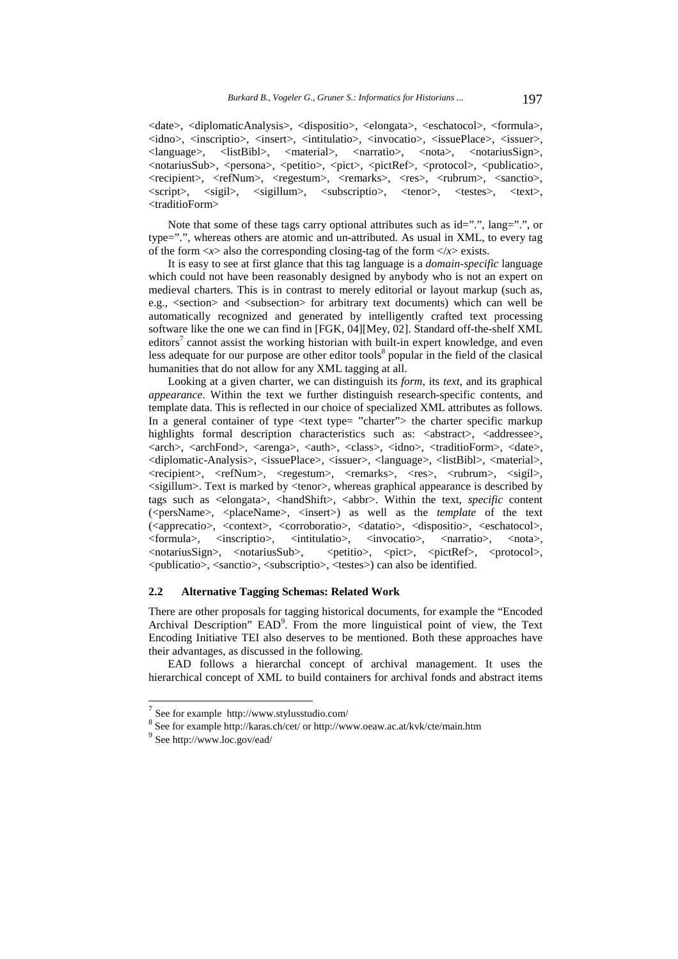<date>, <diplomaticAnalysis>, <dispositio>, <elongata>, <eschatocol>, <formula>, <idno>, <inscriptio>, <insert>, <intitulatio>, <invocatio>, <issuePlace>, <issuer>, <language>, <listBibl>, <material>, <narratio>, <nota>, <notariusSign>, <notariusSub>, <persona>, <petitio>, <pict>, <pictRef>, <protocol>, <publicatio>, <recipient>, <refNum>, <regestum>, <remarks>, <res>, <rubrum>, <sanctio>, <script>, <sigil>, <sigillum>, <subscriptio>, <tenor>, <testes>, <text>, <traditioForm>

Note that some of these tags carry optional attributes such as id="", lang="", or type=".", whereas others are atomic and un-attributed. As usual in XML, to every tag of the form  $\langle x \rangle$  also the corresponding closing-tag of the form  $\langle x \rangle$  exists.

It is easy to see at first glance that this tag language is a *domain-specific* language which could not have been reasonably designed by anybody who is not an expert on medieval charters. This is in contrast to merely editorial or layout markup (such as, e.g., <section> and <subsection> for arbitrary text documents) which can well be automatically recognized and generated by intelligently crafted text processing software like the one we can find in [FGK, 04][Mey, 02]. Standard off-the-shelf XML editors<sup>7</sup> cannot assist the working historian with built-in expert knowledge, and even less adequate for our purpose are other editor tools $8$  popular in the field of the clasical humanities that do not allow for any XML tagging at all.

Looking at a given charter, we can distinguish its *form*, its *text*, and its graphical *appearance*. Within the text we further distinguish research-specific contents, and template data. This is reflected in our choice of specialized XML attributes as follows. In a general container of type  $\lt$  text type= "charter"> the charter specific markup highlights formal description characteristics such as: <abstract>, <addressee>, <arch>, <archFond>, <arenga>, <auth>, <class>, <idno>, <traditioForm>, <date>, <diplomatic-Analysis>, <issuePlace>, <issuer>, <language>, <listBibl>, <material>, <recipient>, <refNum>, <regestum>, <remarks>, <res>, <rubrum>, <sigil>, <sigillum>. Text is marked by <tenor>, whereas graphical appearance is described by tags such as <elongata>, <handShift>, <abbr>. Within the text, *specific* content (<persName>, <placeName>, <insert>) as well as the *template* of the text (<apprecatio>, <context>, <corroboratio>, <datatio>, <dispositio>, <eschatocol>, <formula>, <inscriptio>, <intitulatio>, <invocatio>, <narratio>, <nota>, <notariusSign>, <notariusSub>, <petitio>, <pict>, <pictRef>, <protocol>, <publicatio>, <sanctio>, <subscriptio>, <testes>) can also be identified.

## **2.2 Alternative Tagging Schemas: Related Work**

There are other proposals for tagging historical documents, for example the "Encoded Archival Description" EAD<sup>9</sup>. From the more linguistical point of view, the Text Encoding Initiative TEI also deserves to be mentioned. Both these approaches have their advantages, as discussed in the following.

EAD follows a hierarchal concept of archival management. It uses the hierarchical concept of XML to build containers for archival fonds and abstract items

 $7$  See for example http://www.stylusstudio.com/

<sup>&</sup>lt;sup>8</sup> See for example http://karas.ch/cet/ or http://www.oeaw.ac.at/kvk/cte/main.htm 9 See http://www.loc.gov/ead/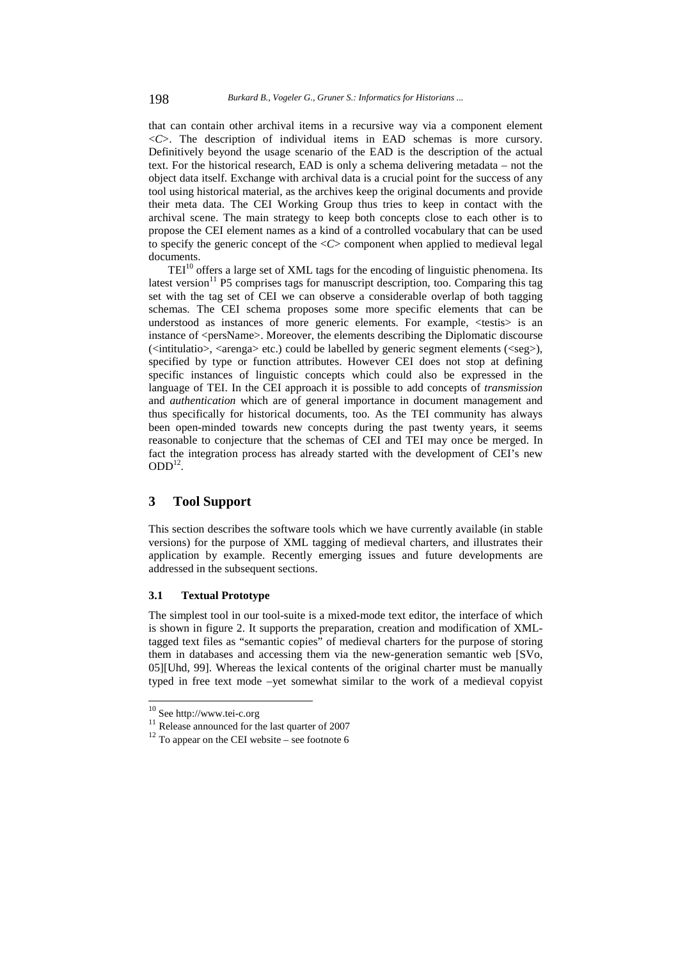that can contain other archival items in a recursive way via a component element <*C*>. The description of individual items in EAD schemas is more cursory. Definitively beyond the usage scenario of the EAD is the description of the actual text. For the historical research, EAD is only a schema delivering metadata – not the object data itself. Exchange with archival data is a crucial point for the success of any tool using historical material, as the archives keep the original documents and provide their meta data. The CEI Working Group thus tries to keep in contact with the archival scene. The main strategy to keep both concepts close to each other is to propose the CEI element names as a kind of a controlled vocabulary that can be used to specify the generic concept of the  $\langle C \rangle$  component when applied to medieval legal documents.

 $TEI<sup>10</sup>$  offers a large set of XML tags for the encoding of linguistic phenomena. Its latest version<sup>11</sup> P5 comprises tags for manuscript description, too. Comparing this tag set with the tag set of CEI we can observe a considerable overlap of both tagging schemas. The CEI schema proposes some more specific elements that can be understood as instances of more generic elements. For example, <testis> is an instance of <persName>. Moreover, the elements describing the Diplomatic discourse  $\langle$ intitulatio>,  $\langle$ arenga> etc.) could be labelled by generic segment elements  $\langle$   $\langle$ seg>), specified by type or function attributes. However CEI does not stop at defining specific instances of linguistic concepts which could also be expressed in the language of TEI. In the CEI approach it is possible to add concepts of *transmission* and *authentication* which are of general importance in document management and thus specifically for historical documents, too. As the TEI community has always been open-minded towards new concepts during the past twenty years, it seems reasonable to conjecture that the schemas of CEI and TEI may once be merged. In fact the integration process has already started with the development of CEI's new  $ODD<sup>12</sup>$ .

## **3 Tool Support**

This section describes the software tools which we have currently available (in stable versions) for the purpose of XML tagging of medieval charters, and illustrates their application by example. Recently emerging issues and future developments are addressed in the subsequent sections.

# **3.1 Textual Prototype**

The simplest tool in our tool-suite is a mixed-mode text editor, the interface of which is shown in figure 2. It supports the preparation, creation and modification of XMLtagged text files as "semantic copies" of medieval charters for the purpose of storing them in databases and accessing them via the new-generation semantic web [SVo, 05][Uhd, 99]. Whereas the lexical contents of the original charter must be manually typed in free text mode –yet somewhat similar to the work of a medieval copyist

 $10$  See http://www.tei-c.org

<sup>&</sup>lt;sup>11</sup> Release announced for the last quarter of 2007<sup>12</sup> To appear on the CEI website – see footnote 6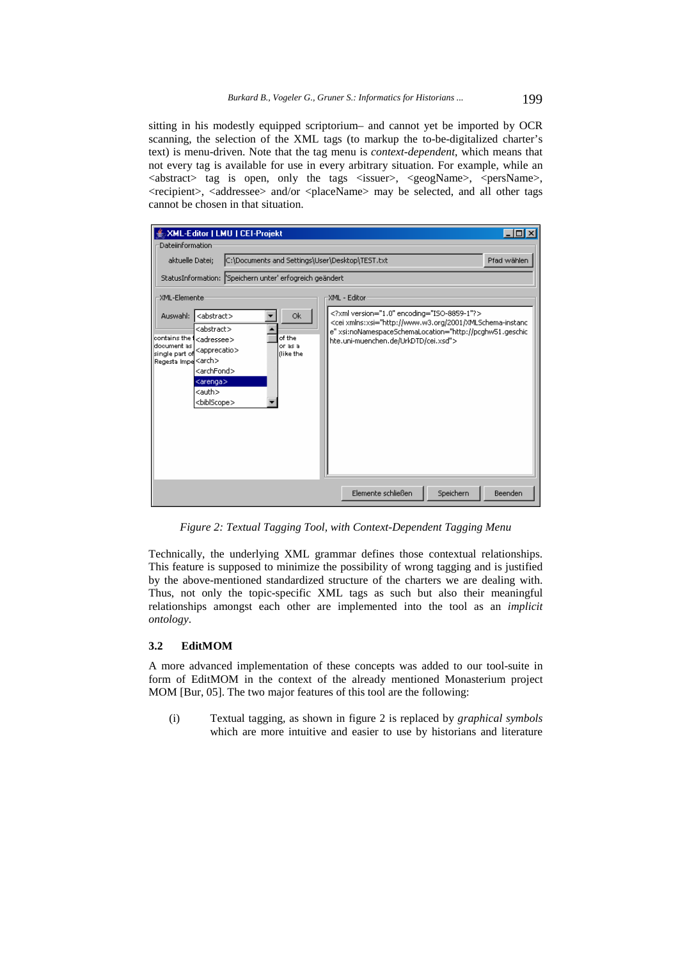sitting in his modestly equipped scriptorium– and cannot yet be imported by OCR scanning, the selection of the XML tags (to markup the to-be-digitalized charter's text) is menu-driven. Note that the tag menu is *context-dependent*, which means that not every tag is available for use in every arbitrary situation. For example, while an  $\langle$ abstract> tag is open, only the tags  $\langle$ issuer>,  $\langle$ geogName>,  $\langle$ persName>, <recipient>, <addressee> and/or <placeName> may be selected, and all other tags cannot be chosen in that situation.

| <b>XML-Editor   LMU   CEI-Projekt</b>                                                                                                                                                                                                                                                                                                                           |                                                                                                                                                                                                                            |
|-----------------------------------------------------------------------------------------------------------------------------------------------------------------------------------------------------------------------------------------------------------------------------------------------------------------------------------------------------------------|----------------------------------------------------------------------------------------------------------------------------------------------------------------------------------------------------------------------------|
| Dateiinformation                                                                                                                                                                                                                                                                                                                                                |                                                                                                                                                                                                                            |
| C:\Documents and Settings\User\Desktop\TEST.txt<br>aktuelle Datei;                                                                                                                                                                                                                                                                                              | Pfad wählen                                                                                                                                                                                                                |
| StatusInformation: Speichern unter' erfogreich geändert                                                                                                                                                                                                                                                                                                         |                                                                                                                                                                                                                            |
| XML-Elemente                                                                                                                                                                                                                                                                                                                                                    | XML - Editor                                                                                                                                                                                                               |
| <abstract><br/>Ok.<br/>Auswahl:<br/><abstract><br/>contains the f<br/>of the<br/><adressee><br/>document as<br/>or as a<br/><apprecatio><br/>single part of<br/>flike the<br/>Regesta Impe<sup>l</sup><arch><br/><archfond><br/><arenga><br/><auth><br/><biblscope></biblscope></auth></arenga></archfond></arch></apprecatio></adressee></abstract></abstract> | xml version="1.0" encoding="ISO-8859-1"?<br><cei xmlns:xsi="http://www.w3.org/2001/XMLSchema-instanc&lt;br&gt;e" xsi:nonamespaceschemalocation="http://pcghw51.geschic&lt;br&gt;hte.uni-muenchen.de/UrkDTD/cei.xsd"></cei> |
|                                                                                                                                                                                                                                                                                                                                                                 | Elemente schließen<br>Speichern<br>Beenden                                                                                                                                                                                 |

*Figure 2: Textual Tagging Tool, with Context-Dependent Tagging Menu* 

Technically, the underlying XML grammar defines those contextual relationships. This feature is supposed to minimize the possibility of wrong tagging and is justified by the above-mentioned standardized structure of the charters we are dealing with. Thus, not only the topic-specific XML tags as such but also their meaningful relationships amongst each other are implemented into the tool as an *implicit ontology*.

## **3.2 EditMOM**

A more advanced implementation of these concepts was added to our tool-suite in form of EditMOM in the context of the already mentioned Monasterium project MOM [Bur, 05]. The two major features of this tool are the following:

(i) Textual tagging, as shown in figure 2 is replaced by *graphical symbols* which are more intuitive and easier to use by historians and literature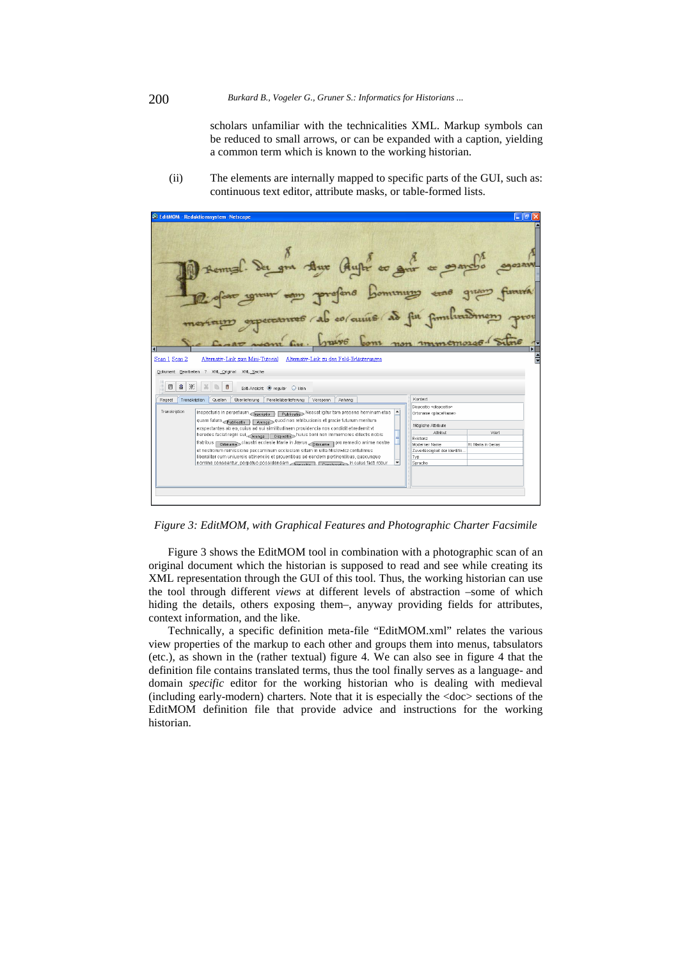scholars unfamiliar with the technicalities XML. Markup symbols can be reduced to small arrows, or can be expanded with a caption, yielding a common term which is known to the working historian.

(ii) The elements are internally mapped to specific parts of the GUI, such as: continuous text editor, attribute masks, or table-formed lists.



*Figure 3: EditMOM, with Graphical Features and Photographic Charter Facsimile* 

Figure 3 shows the EditMOM tool in combination with a photographic scan of an original document which the historian is supposed to read and see while creating its XML representation through the GUI of this tool. Thus, the working historian can use the tool through different *views* at different levels of abstraction –some of which hiding the details, others exposing them–, anyway providing fields for attributes, context information, and the like.

Technically, a specific definition meta-file "EditMOM.xml" relates the various view properties of the markup to each other and groups them into menus, tabsulators (etc.), as shown in the (rather textual) figure 4. We can also see in figure 4 that the definition file contains translated terms, thus the tool finally serves as a language- and domain *specific* editor for the working historian who is dealing with medieval (including early-modern) charters. Note that it is especially the <doc> sections of the EditMOM definition file that provide advice and instructions for the working historian.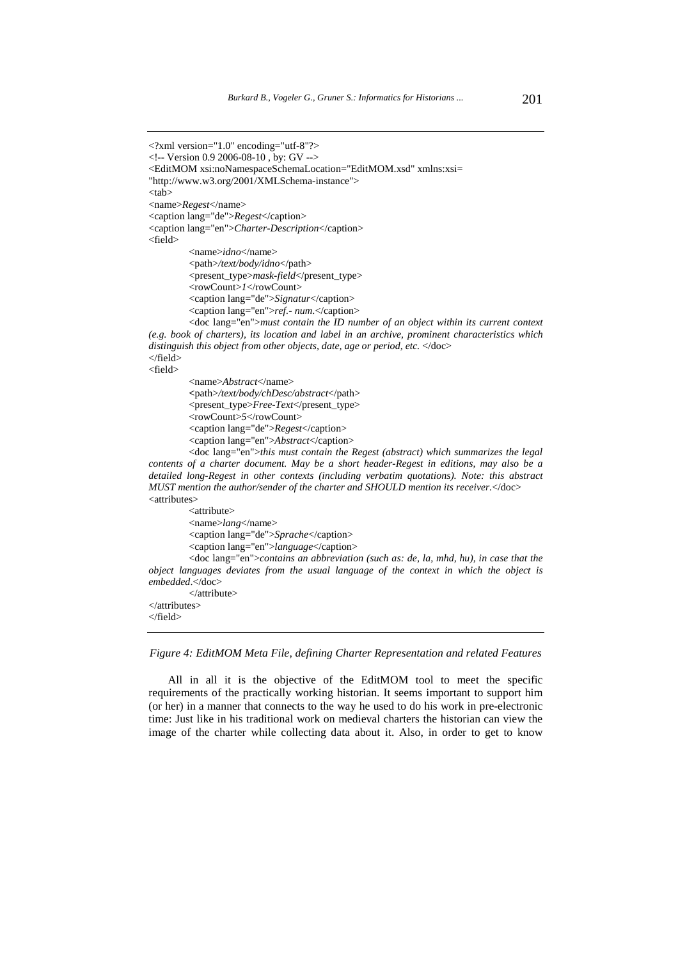```
<?xml version="1.0" encoding="utf-8"?> 
<!-- Version 0.9 2006-08-10 , by: GV --> 
<EditMOM xsi:noNamespaceSchemaLocation="EditMOM.xsd" xmlns:xsi= 
"http://www.w3.org/2001/XMLSchema-instance"> 
<tab> 
<name>Regest</name> 
<caption lang="de">Regest</caption> 
<caption lang="en">Charter-Description</caption> 
<field> 
          <name>idno</name> 
          <path>/text/body/idno</path> 
          <present_type>mask-field</present_type> 
          <rowCount>1</rowCount> 
          <caption lang="de">Signatur</caption> 
          <caption lang="en">ref.- num.</caption> 
         <doc lang="en">must contain the ID number of an object within its current context 
(e.g. book of charters), its location and label in an archive, prominent characteristics which 
distinguish this object from other objects, date, age or period, etc. </doc>
</field> 
<field> 
          <name>Abstract</name> 
         <path>/text/body/chDesc/abstract</path> 
          <present_type>Free-Text</present_type> 
          <rowCount>5</rowCount> 
          <caption lang="de">Regest</caption> 
          <caption lang="en">Abstract</caption> 
         <doc lang="en">this must contain the Regest (abstract) which summarizes the legal 
contents of a charter document. May be a short header-Regest in editions, may also be a 
detailed long-Regest in other contexts (including verbatim quotations). Note: this abstract 
MUST mention the author/sender of the charter and SHOULD mention its receiver.</doc> 
<attributes> 
          <attribute> 
          <name>lang</name> 
          <caption lang="de">Sprache</caption> 
          <caption lang="en">language</caption> 
         <doc lang="en">contains an abbreviation (such as: de, la, mhd, hu), in case that the 
object languages deviates from the usual language of the context in which the object is 
embedded.</doc> 
          </attribute> 
</attributes> 
</field>
```
*Figure 4: EditMOM Meta File, defining Charter Representation and related Features* 

All in all it is the objective of the EditMOM tool to meet the specific requirements of the practically working historian. It seems important to support him (or her) in a manner that connects to the way he used to do his work in pre-electronic time: Just like in his traditional work on medieval charters the historian can view the image of the charter while collecting data about it. Also, in order to get to know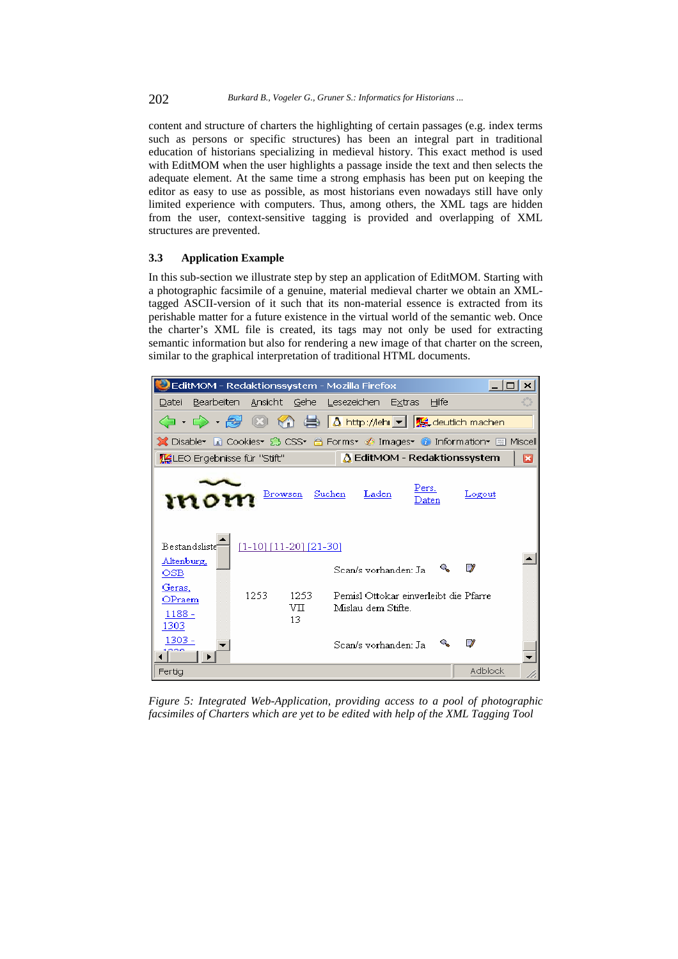202 *Burkard B., Vogeler G., Gruner S.: Informatics for Historians ...*

content and structure of charters the highlighting of certain passages (e.g. index terms such as persons or specific structures) has been an integral part in traditional education of historians specializing in medieval history. This exact method is used with EditMOM when the user highlights a passage inside the text and then selects the adequate element. At the same time a strong emphasis has been put on keeping the editor as easy to use as possible, as most historians even nowadays still have only limited experience with computers. Thus, among others, the XML tags are hidden from the user, context-sensitive tagging is provided and overlapping of XML structures are prevented.

#### **3.3 Application Example**

In this sub-section we illustrate step by step an application of EditMOM. Starting with a photographic facsimile of a genuine, material medieval charter we obtain an XMLtagged ASCII-version of it such that its non-material essence is extracted from its perishable matter for a future existence in the virtual world of the semantic web. Once the charter's XML file is created, its tags may not only be used for extracting semantic information but also for rendering a new image of that charter on the screen, similar to the graphical interpretation of traditional HTML documents.



*Figure 5: Integrated Web-Application, providing access to a pool of photographic facsimiles of Charters which are yet to be edited with help of the XML Tagging Tool*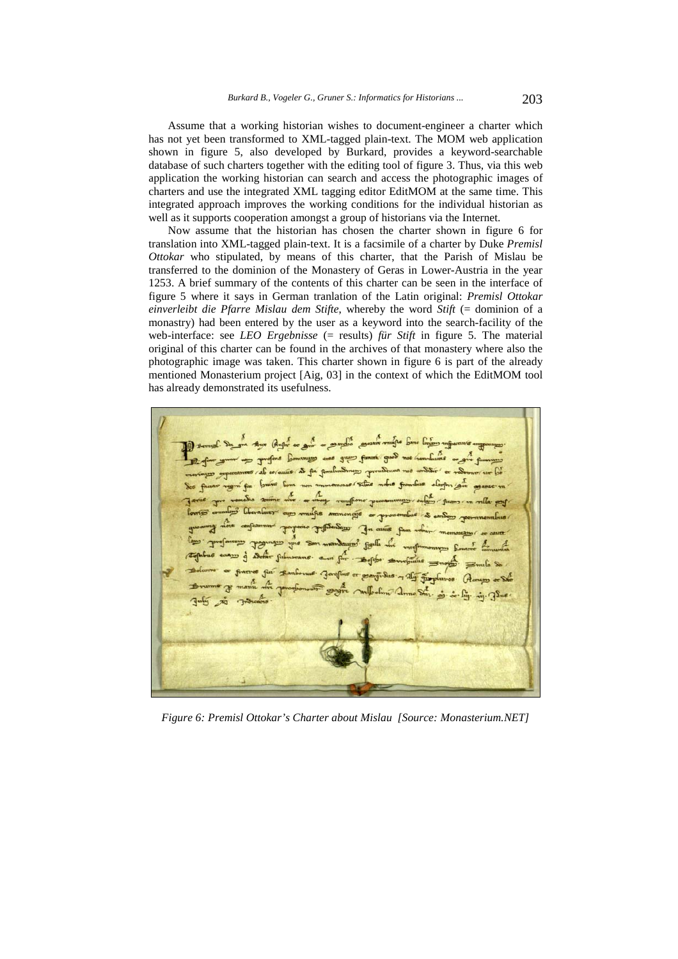Assume that a working historian wishes to document-engineer a charter which has not yet been transformed to XML-tagged plain-text. The MOM web application shown in figure 5, also developed by Burkard, provides a keyword-searchable database of such charters together with the editing tool of figure 3. Thus, via this web application the working historian can search and access the photographic images of charters and use the integrated XML tagging editor EditMOM at the same time. This integrated approach improves the working conditions for the individual historian as well as it supports cooperation amongst a group of historians via the Internet.

Now assume that the historian has chosen the charter shown in figure 6 for translation into XML-tagged plain-text. It is a facsimile of a charter by Duke *Premisl Ottokar* who stipulated, by means of this charter, that the Parish of Mislau be transferred to the dominion of the Monastery of Geras in Lower-Austria in the year 1253. A brief summary of the contents of this charter can be seen in the interface of figure 5 where it says in German tranlation of the Latin original: *Premisl Ottokar einverleibt die Pfarre Mislau dem Stifte*, whereby the word *Stift* (= dominion of a monastry) had been entered by the user as a keyword into the search-facility of the web-interface: see *LEO Ergebnisse* (= results) *für Stift* in figure 5. The material original of this charter can be found in the archives of that monastery where also the photographic image was taken. This charter shown in figure 6 is part of the already mentioned Monasterium project [Aig, 03] in the context of which the EditMOM tool has already demonstrated its usefulness.

as for fo mí fur. br  $n$ ajs  $\sim$  prou

*Figure 6: Premisl Ottokar's Charter about Mislau [Source: Monasterium.NET]*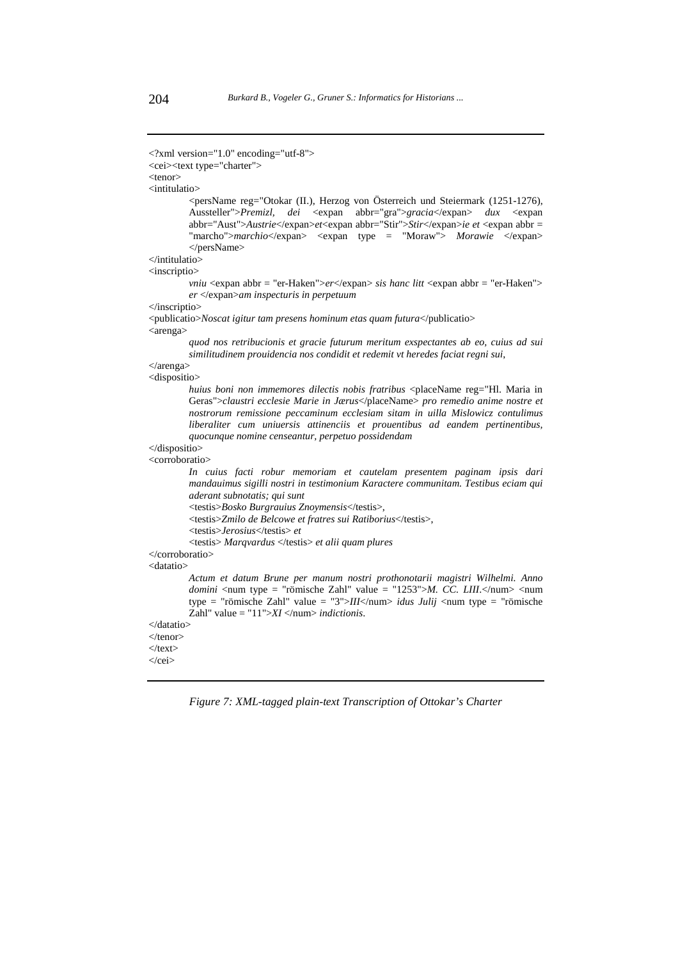```
<?xml version="1.0" encoding="utf-8">
```

```
<cei><text type="charter">
```
<tenor>

<intitulatio>

<persName reg="Otokar (II.), Herzog von Österreich und Steiermark (1251-1276), Aussteller">*Premizl, dei* <expan abbr="gra">*gracia*</expan> *dux* <expan abbr="Aust">*Austrie*</expan>*et*<expan abbr="Stir">*Stir*</expan>*ie et* <expan abbr = "marcho">*marchio*</expan> <expan type = "Moraw"> *Morawie* </expan> </persName>

</intitulatio>

<inscriptio>

*vniu* <expan abbr = "er-Haken">er</expan> *sis hanc litt* <expan abbr = "er-Haken"> *er* </expan>*am inspecturis in perpetuum* 

</inscriptio>

<publicatio>*Noscat igitur tam presens hominum etas quam futura*</publicatio> <arenga>

*quod nos retribucionis et gracie futurum meritum exspectantes ab eo, cuius ad sui similitudinem prouidencia nos condidit et redemit vt heredes faciat regni sui*,

</arenga> <dispositio>

> *huius boni non immemores dilectis nobis fratribus* <placeName reg="Hl. Maria in Geras">*claustri ecclesie Marie in Jærus*</placeName> *pro remedio anime nostre et nostrorum remissione peccaminum ecclesiam sitam in uilla Mislowicz contulimus liberaliter cum uniuersis attinenciis et prouentibus ad eandem pertinentibus, quocunque nomine censeantur, perpetuo possidendam*

</dispositio> <corroboratio>

> *In cuius facti robur memoriam et cautelam presentem paginam ipsis dari mandauimus sigilli nostri in testimonium Karactere communitam. Testibus eciam qui aderant subnotatis; qui sunt*

<testis>*Bosko Burgrauius Znoymensis*</testis>,

<testis>*Zmilo de Belcowe et fratres sui Ratiborius*</testis>,

<testis>*Jerosius*</testis> *et*

<testis> *Marqvardus* </testis> *et alii quam plures* 

#### </corroboratio>

<datatio>

*Actum et datum Brune per manum nostri prothonotarii magistri Wilhelmi. Anno domini* <num type = "römische Zahl" value = "1253">*M. CC. LIII*.</num> <num type = "römische Zahl" value = "3">*III*</num> *idus Julij* <num type = "römische Zahl" value = "11">*XI* </num> *indictionis*.

</datatio>

```
</tenor> 
\langletext\rangle
```
</cei>

*Figure 7: XML-tagged plain-text Transcription of Ottokar's Charter*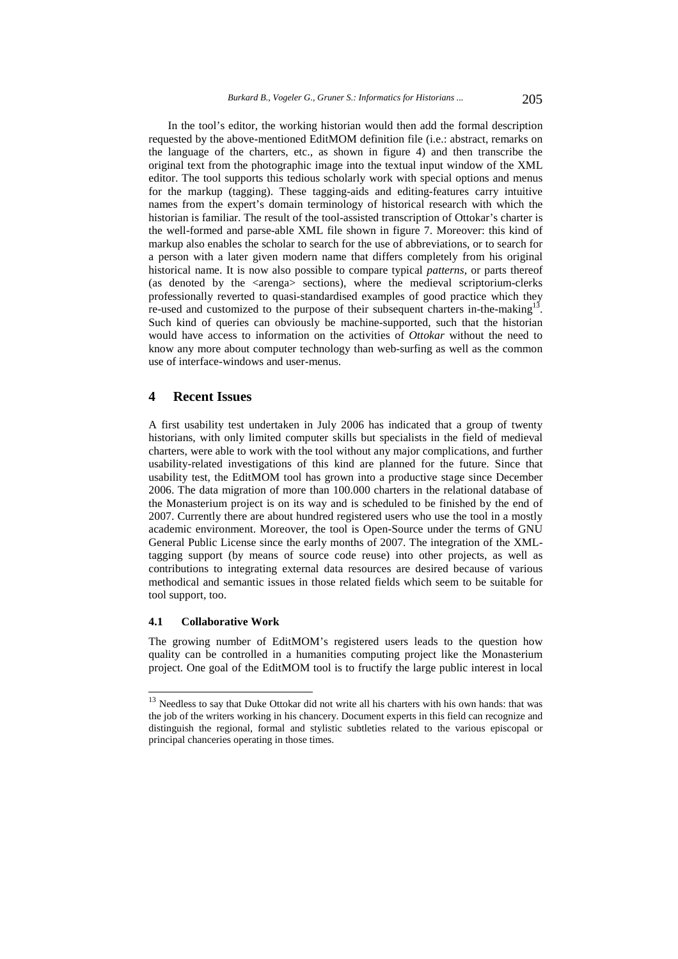In the tool's editor, the working historian would then add the formal description requested by the above-mentioned EditMOM definition file (i.e.: abstract, remarks on the language of the charters, etc., as shown in figure 4) and then transcribe the original text from the photographic image into the textual input window of the XML editor. The tool supports this tedious scholarly work with special options and menus for the markup (tagging). These tagging-aids and editing-features carry intuitive names from the expert's domain terminology of historical research with which the historian is familiar. The result of the tool-assisted transcription of Ottokar's charter is the well-formed and parse-able XML file shown in figure 7. Moreover: this kind of markup also enables the scholar to search for the use of abbreviations, or to search for a person with a later given modern name that differs completely from his original historical name. It is now also possible to compare typical *patterns*, or parts thereof (as denoted by the  $\langle \text{arenga} \rangle$  sections), where the medieval scriptorium-clerks professionally reverted to quasi-standardised examples of good practice which they re-used and customized to the purpose of their subsequent charters in-the-making $^{13}$ . Such kind of queries can obviously be machine-supported, such that the historian would have access to information on the activities of *Ottokar* without the need to know any more about computer technology than web-surfing as well as the common use of interface-windows and user-menus.

# **4 Recent Issues**

A first usability test undertaken in July 2006 has indicated that a group of twenty historians, with only limited computer skills but specialists in the field of medieval charters, were able to work with the tool without any major complications, and further usability-related investigations of this kind are planned for the future. Since that usability test, the EditMOM tool has grown into a productive stage since December 2006. The data migration of more than 100.000 charters in the relational database of the Monasterium project is on its way and is scheduled to be finished by the end of 2007. Currently there are about hundred registered users who use the tool in a mostly academic environment. Moreover, the tool is Open-Source under the terms of GNU General Public License since the early months of 2007. The integration of the XMLtagging support (by means of source code reuse) into other projects, as well as contributions to integrating external data resources are desired because of various methodical and semantic issues in those related fields which seem to be suitable for tool support, too.

## **4.1 Collaborative Work**

l

The growing number of EditMOM's registered users leads to the question how quality can be controlled in a humanities computing project like the Monasterium project. One goal of the EditMOM tool is to fructify the large public interest in local

<sup>&</sup>lt;sup>13</sup> Needless to say that Duke Ottokar did not write all his charters with his own hands: that was the job of the writers working in his chancery. Document experts in this field can recognize and distinguish the regional, formal and stylistic subtleties related to the various episcopal or principal chanceries operating in those times.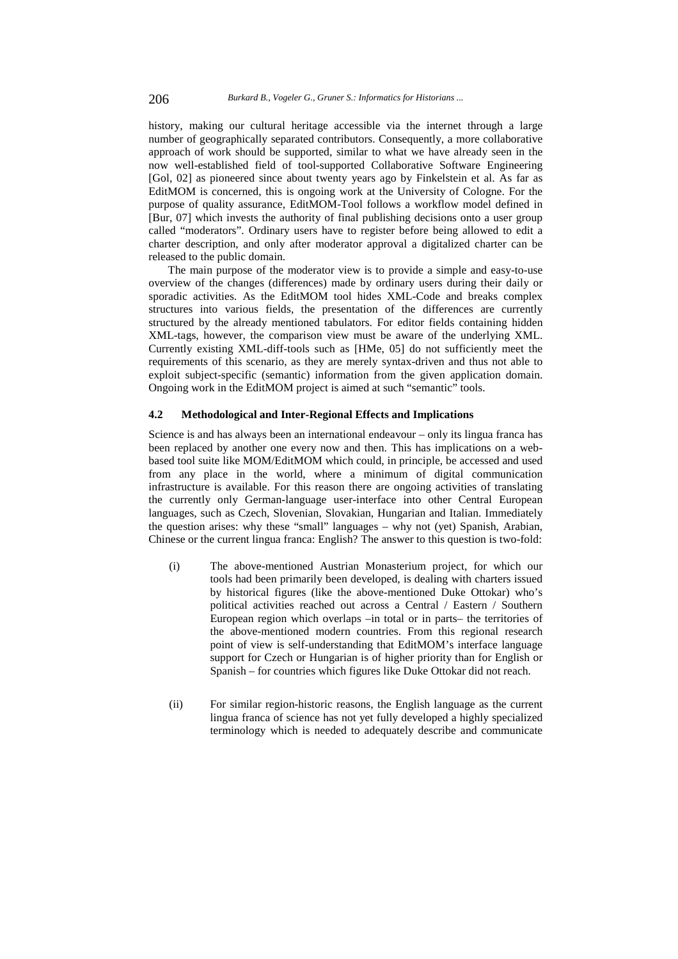history, making our cultural heritage accessible via the internet through a large number of geographically separated contributors. Consequently, a more collaborative approach of work should be supported, similar to what we have already seen in the now well-established field of tool-supported Collaborative Software Engineering [Gol, 02] as pioneered since about twenty years ago by Finkelstein et al. As far as EditMOM is concerned, this is ongoing work at the University of Cologne. For the purpose of quality assurance, EditMOM-Tool follows a workflow model defined in [Bur, 07] which invests the authority of final publishing decisions onto a user group called "moderators". Ordinary users have to register before being allowed to edit a charter description, and only after moderator approval a digitalized charter can be released to the public domain.

The main purpose of the moderator view is to provide a simple and easy-to-use overview of the changes (differences) made by ordinary users during their daily or sporadic activities. As the EditMOM tool hides XML-Code and breaks complex structures into various fields, the presentation of the differences are currently structured by the already mentioned tabulators. For editor fields containing hidden XML-tags, however, the comparison view must be aware of the underlying XML. Currently existing XML-diff-tools such as [HMe, 05] do not sufficiently meet the requirements of this scenario, as they are merely syntax-driven and thus not able to exploit subject-specific (semantic) information from the given application domain. Ongoing work in the EditMOM project is aimed at such "semantic" tools.

## **4.2 Methodological and Inter-Regional Effects and Implications**

Science is and has always been an international endeavour – only its lingua franca has been replaced by another one every now and then. This has implications on a webbased tool suite like MOM/EditMOM which could, in principle, be accessed and used from any place in the world, where a minimum of digital communication infrastructure is available. For this reason there are ongoing activities of translating the currently only German-language user-interface into other Central European languages, such as Czech, Slovenian, Slovakian, Hungarian and Italian. Immediately the question arises: why these "small" languages – why not (yet) Spanish, Arabian, Chinese or the current lingua franca: English? The answer to this question is two-fold:

- (i) The above-mentioned Austrian Monasterium project, for which our tools had been primarily been developed, is dealing with charters issued by historical figures (like the above-mentioned Duke Ottokar) who's political activities reached out across a Central / Eastern / Southern European region which overlaps –in total or in parts– the territories of the above-mentioned modern countries. From this regional research point of view is self-understanding that EditMOM's interface language support for Czech or Hungarian is of higher priority than for English or Spanish – for countries which figures like Duke Ottokar did not reach.
- (ii) For similar region-historic reasons, the English language as the current lingua franca of science has not yet fully developed a highly specialized terminology which is needed to adequately describe and communicate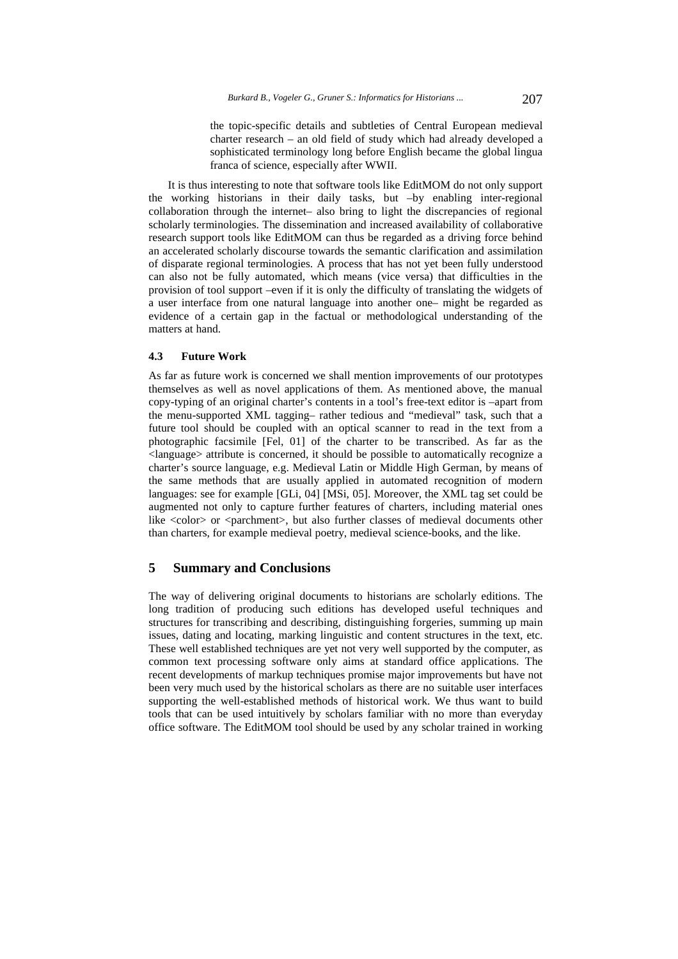the topic-specific details and subtleties of Central European medieval charter research – an old field of study which had already developed a sophisticated terminology long before English became the global lingua franca of science, especially after WWII.

It is thus interesting to note that software tools like EditMOM do not only support the working historians in their daily tasks, but –by enabling inter-regional collaboration through the internet– also bring to light the discrepancies of regional scholarly terminologies. The dissemination and increased availability of collaborative research support tools like EditMOM can thus be regarded as a driving force behind an accelerated scholarly discourse towards the semantic clarification and assimilation of disparate regional terminologies. A process that has not yet been fully understood can also not be fully automated, which means (vice versa) that difficulties in the provision of tool support –even if it is only the difficulty of translating the widgets of a user interface from one natural language into another one– might be regarded as evidence of a certain gap in the factual or methodological understanding of the matters at hand.

## **4.3 Future Work**

As far as future work is concerned we shall mention improvements of our prototypes themselves as well as novel applications of them. As mentioned above, the manual copy-typing of an original charter's contents in a tool's free-text editor is –apart from the menu-supported XML tagging– rather tedious and "medieval" task, such that a future tool should be coupled with an optical scanner to read in the text from a photographic facsimile [Fel, 01] of the charter to be transcribed. As far as the <language> attribute is concerned, it should be possible to automatically recognize a charter's source language, e.g. Medieval Latin or Middle High German, by means of the same methods that are usually applied in automated recognition of modern languages: see for example [GLi, 04] [MSi, 05]. Moreover, the XML tag set could be augmented not only to capture further features of charters, including material ones like <color> or <parchment>, but also further classes of medieval documents other than charters, for example medieval poetry, medieval science-books, and the like.

# **5 Summary and Conclusions**

The way of delivering original documents to historians are scholarly editions. The long tradition of producing such editions has developed useful techniques and structures for transcribing and describing, distinguishing forgeries, summing up main issues, dating and locating, marking linguistic and content structures in the text, etc. These well established techniques are yet not very well supported by the computer, as common text processing software only aims at standard office applications. The recent developments of markup techniques promise major improvements but have not been very much used by the historical scholars as there are no suitable user interfaces supporting the well-established methods of historical work. We thus want to build tools that can be used intuitively by scholars familiar with no more than everyday office software. The EditMOM tool should be used by any scholar trained in working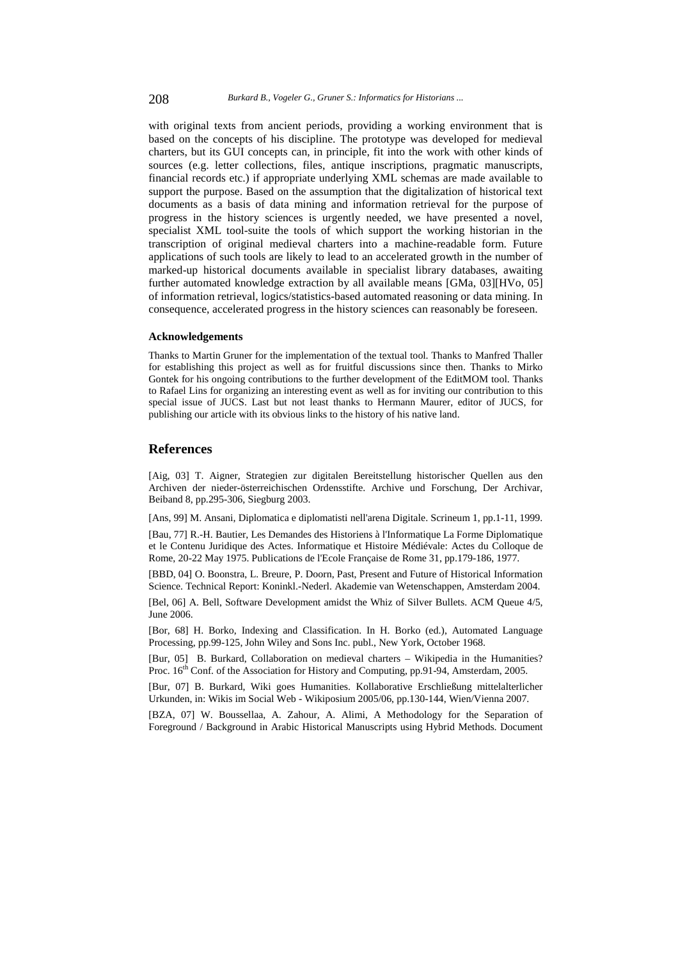with original texts from ancient periods, providing a working environment that is based on the concepts of his discipline. The prototype was developed for medieval charters, but its GUI concepts can, in principle, fit into the work with other kinds of sources (e.g. letter collections, files, antique inscriptions, pragmatic manuscripts, financial records etc.) if appropriate underlying XML schemas are made available to support the purpose. Based on the assumption that the digitalization of historical text documents as a basis of data mining and information retrieval for the purpose of progress in the history sciences is urgently needed, we have presented a novel, specialist XML tool-suite the tools of which support the working historian in the transcription of original medieval charters into a machine-readable form. Future applications of such tools are likely to lead to an accelerated growth in the number of marked-up historical documents available in specialist library databases, awaiting further automated knowledge extraction by all available means [GMa, 03][HVo, 05] of information retrieval, logics/statistics-based automated reasoning or data mining. In consequence, accelerated progress in the history sciences can reasonably be foreseen.

#### **Acknowledgements**

Thanks to Martin Gruner for the implementation of the textual tool. Thanks to Manfred Thaller for establishing this project as well as for fruitful discussions since then. Thanks to Mirko Gontek for his ongoing contributions to the further development of the EditMOM tool. Thanks to Rafael Lins for organizing an interesting event as well as for inviting our contribution to this special issue of JUCS. Last but not least thanks to Hermann Maurer, editor of JUCS, for publishing our article with its obvious links to the history of his native land.

## **References**

[Aig, 03] T. Aigner, Strategien zur digitalen Bereitstellung historischer Quellen aus den Archiven der nieder-österreichischen Ordensstifte. Archive und Forschung, Der Archivar, Beiband 8, pp.295-306, Siegburg 2003.

[Ans, 99] M. Ansani, Diplomatica e diplomatisti nell'arena Digitale. Scrineum 1, pp.1-11, 1999.

[Bau, 77] R.-H. Bautier, Les Demandes des Historiens à l'Informatique La Forme Diplomatique et le Contenu Juridique des Actes. Informatique et Histoire Médiévale: Actes du Colloque de Rome, 20-22 May 1975. Publications de l'Ecole Française de Rome 31, pp.179-186, 1977.

[BBD, 04] O. Boonstra, L. Breure, P. Doorn, Past, Present and Future of Historical Information Science. Technical Report: Koninkl.-Nederl. Akademie van Wetenschappen, Amsterdam 2004.

[Bel, 06] A. Bell, Software Development amidst the Whiz of Silver Bullets. ACM Queue 4/5, June 2006.

[Bor, 68] H. Borko, Indexing and Classification. In H. Borko (ed.), Automated Language Processing, pp.99-125, John Wiley and Sons Inc. publ., New York, October 1968.

[Bur, 05] B. Burkard, Collaboration on medieval charters – Wikipedia in the Humanities? Proc. 16<sup>th</sup> Conf. of the Association for History and Computing, pp.91-94, Amsterdam, 2005.

[Bur, 07] B. Burkard, Wiki goes Humanities. Kollaborative Erschließung mittelalterlicher Urkunden, in: Wikis im Social Web - Wikiposium 2005/06, pp.130-144, Wien/Vienna 2007.

[BZA, 07] W. Boussellaa, A. Zahour, A. Alimi, A Methodology for the Separation of Foreground / Background in Arabic Historical Manuscripts using Hybrid Methods. Document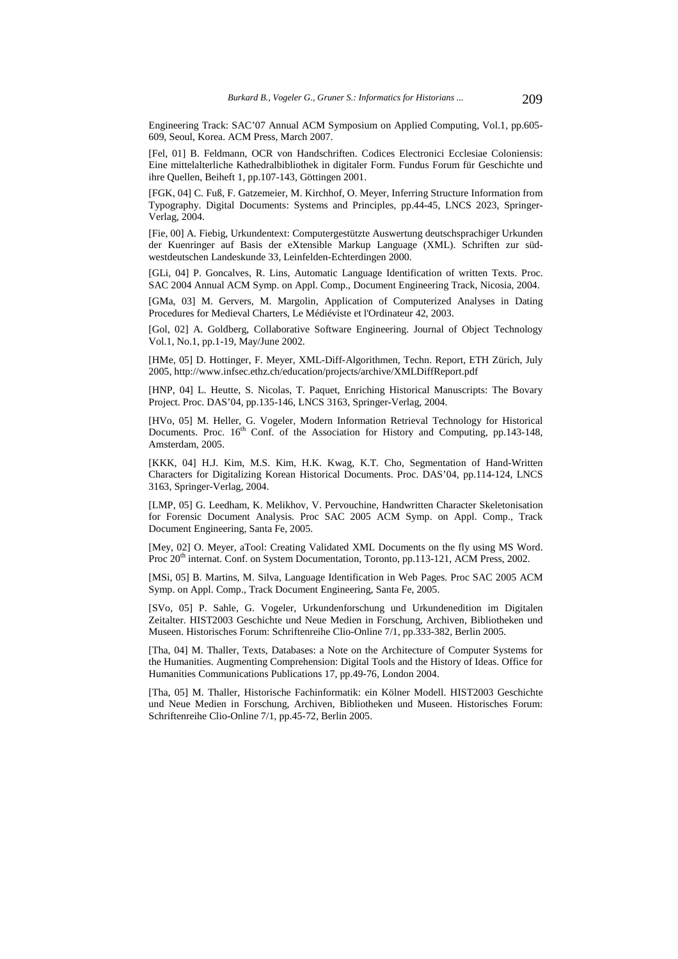Engineering Track: SAC'07 Annual ACM Symposium on Applied Computing, Vol.1, pp.605- 609, Seoul, Korea. ACM Press, March 2007.

[Fel, 01] B. Feldmann, OCR von Handschriften. Codices Electronici Ecclesiae Coloniensis: Eine mittelalterliche Kathedralbibliothek in digitaler Form. Fundus Forum für Geschichte und ihre Quellen, Beiheft 1, pp.107-143, Göttingen 2001.

[FGK, 04] C. Fuß, F. Gatzemeier, M. Kirchhof, O. Meyer, Inferring Structure Information from Typography. Digital Documents: Systems and Principles, pp.44-45, LNCS 2023, Springer-Verlag, 2004.

[Fie, 00] A. Fiebig, Urkundentext: Computergestützte Auswertung deutschsprachiger Urkunden der Kuenringer auf Basis der eXtensible Markup Language (XML). Schriften zur südwestdeutschen Landeskunde 33, Leinfelden-Echterdingen 2000.

[GLi, 04] P. Goncalves, R. Lins, Automatic Language Identification of written Texts. Proc. SAC 2004 Annual ACM Symp. on Appl. Comp., Document Engineering Track, Nicosia, 2004.

[GMa, 03] M. Gervers, M. Margolin, Application of Computerized Analyses in Dating Procedures for Medieval Charters, Le Médiéviste et l'Ordinateur 42, 2003.

[Gol, 02] A. Goldberg, Collaborative Software Engineering. Journal of Object Technology Vol.1, No.1, pp.1-19, May/June 2002.

[HMe, 05] D. Hottinger, F. Meyer, XML-Diff-Algorithmen, Techn. Report, ETH Zürich, July 2005, http://www.infsec.ethz.ch/education/projects/archive/XMLDiffReport.pdf

[HNP, 04] L. Heutte, S. Nicolas, T. Paquet, Enriching Historical Manuscripts: The Bovary Project. Proc. DAS'04, pp.135-146, LNCS 3163, Springer-Verlag, 2004.

[HVo, 05] M. Heller, G. Vogeler, Modern Information Retrieval Technology for Historical Documents. Proc. 16<sup>th</sup> Conf. of the Association for History and Computing, pp.143-148, Amsterdam, 2005.

[KKK, 04] H.J. Kim, M.S. Kim, H.K. Kwag, K.T. Cho, Segmentation of Hand-Written Characters for Digitalizing Korean Historical Documents. Proc. DAS'04, pp.114-124, LNCS 3163, Springer-Verlag, 2004.

[LMP, 05] G. Leedham, K. Melikhov, V. Pervouchine, Handwritten Character Skeletonisation for Forensic Document Analysis. Proc SAC 2005 ACM Symp. on Appl. Comp., Track Document Engineering, Santa Fe, 2005.

[Mey, 02] O. Meyer, aTool: Creating Validated XML Documents on the fly using MS Word. Proc 20<sup>th</sup> internat. Conf. on System Documentation, Toronto, pp.113-121, ACM Press, 2002.

[MSi, 05] B. Martins, M. Silva, Language Identification in Web Pages. Proc SAC 2005 ACM Symp. on Appl. Comp., Track Document Engineering, Santa Fe, 2005.

[SVo, 05] P. Sahle, G. Vogeler, Urkundenforschung und Urkundenedition im Digitalen Zeitalter. HIST2003 Geschichte und Neue Medien in Forschung, Archiven, Bibliotheken und Museen. Historisches Forum: Schriftenreihe Clio-Online 7/1, pp.333-382, Berlin 2005.

[Tha, 04] M. Thaller, Texts, Databases: a Note on the Architecture of Computer Systems for the Humanities. Augmenting Comprehension: Digital Tools and the History of Ideas. Office for Humanities Communications Publications 17, pp.49-76, London 2004.

[Tha, 05] M. Thaller, Historische Fachinformatik: ein Kölner Modell. HIST2003 Geschichte und Neue Medien in Forschung, Archiven, Bibliotheken und Museen. Historisches Forum: Schriftenreihe Clio-Online 7/1, pp.45-72, Berlin 2005.